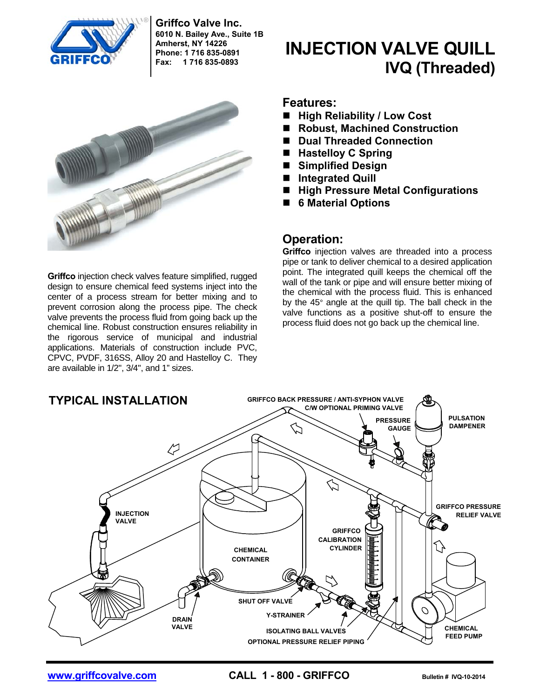

**Griffco Valve Inc. 6010 N. Bailey Ave., Suite 1B Amherst, NY 14226 Phone: 1 716 835-0891 Fax: 1 716 835-0893**



**Griffco** injection check valves feature simplified, rugged design to ensure chemical feed systems inject into the center of a process stream for better mixing and to prevent corrosion along the process pipe. The check valve prevents the process fluid from going back up the chemical line. Robust construction ensures reliability in the rigorous service of municipal and industrial applications. Materials of construction include PVC, CPVC, PVDF, 316SS, Alloy 20 and Hastelloy C. They are available in 1/2", 3/4", and 1" sizes.

# **INJECTION VALVE QUILL IVQ (Threaded)**

#### **Features:**

- High Reliability / Low Cost
- Robust, Machined Construction
- Dual Threaded Connection
- **Hastelloy C Spring**
- **Simplified Design**
- **Integrated Quill**
- High Pressure Metal Configurations
- **6 Material Options**

#### **Operation:**

**Griffco** injection valves are threaded into a process pipe or tank to deliver chemical to a desired application point. The integrated quill keeps the chemical off the wall of the tank or pipe and will ensure better mixing of the chemical with the process fluid. This is enhanced by the 45° angle at the quill tip. The ball check in the valve functions as a positive shut-off to ensure the process fluid does not go back up the chemical line.



**WWW.Griffcovalve.com CALL 1 - 800 - GRIFFCO** Bulletin # IVQ-10-2014